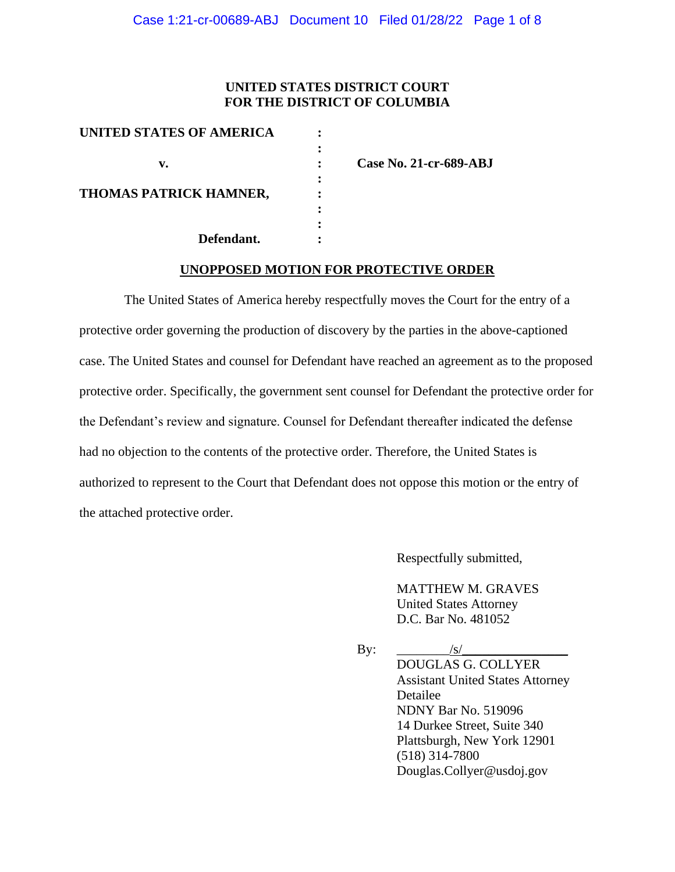## **UNITED STATES DISTRICT COURT FOR THE DISTRICT OF COLUMBIA**

| <b>UNITED STATES OF AMERICA</b> |  |
|---------------------------------|--|
|                                 |  |
| v.                              |  |
|                                 |  |
| THOMAS PATRICK HAMNER,          |  |
|                                 |  |
|                                 |  |
| Defendant.                      |  |

**v. : Case No. 21-cr-689-ABJ**

### **UNOPPOSED MOTION FOR PROTECTIVE ORDER**

 The United States of America hereby respectfully moves the Court for the entry of a protective order governing the production of discovery by the parties in the above-captioned case. The United States and counsel for Defendant have reached an agreement as to the proposed protective order. Specifically, the government sent counsel for Defendant the protective order for the Defendant's review and signature. Counsel for Defendant thereafter indicated the defense had no objection to the contents of the protective order. Therefore, the United States is authorized to represent to the Court that Defendant does not oppose this motion or the entry of the attached protective order.

Respectfully submitted,

MATTHEW M. GRAVES United States Attorney D.C. Bar No. 481052

By:  $/s/$ DOUGLAS G. COLLYER Assistant United States Attorney Detailee NDNY Bar No. 519096 14 Durkee Street, Suite 340 Plattsburgh, New York 12901 (518) 314-7800 Douglas.Collyer@usdoj.gov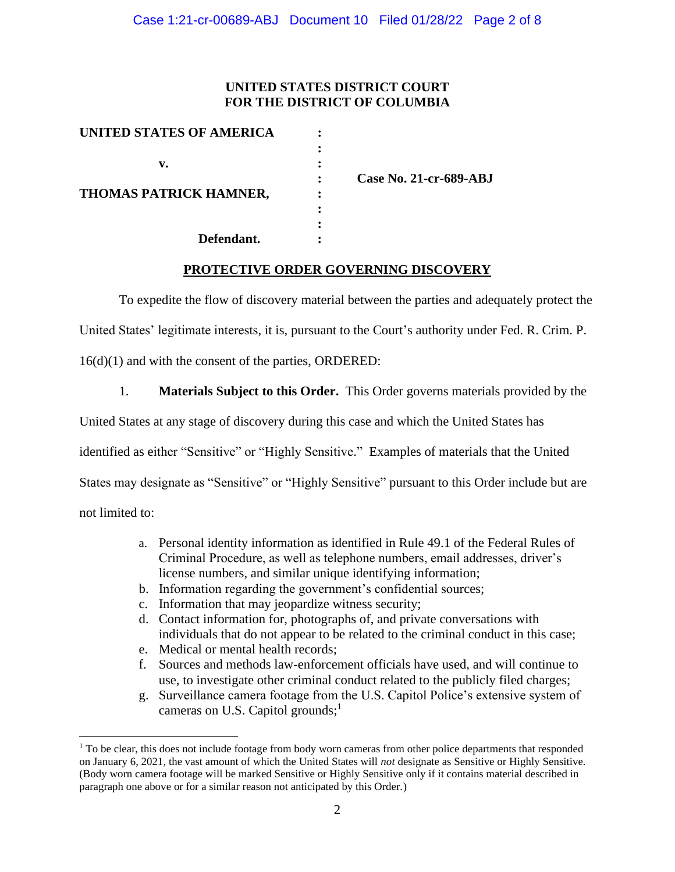## **UNITED STATES DISTRICT COURT FOR THE DISTRICT OF COLUMBIA**

| <b>UNITED STATES OF AMERICA</b> |  |
|---------------------------------|--|
|                                 |  |
| v.                              |  |
|                                 |  |
| THOMAS PATRICK HAMNER,          |  |
|                                 |  |
|                                 |  |
| Defendant.                      |  |

**: Case No. 21-cr-689-ABJ**

## **PROTECTIVE ORDER GOVERNING DISCOVERY**

To expedite the flow of discovery material between the parties and adequately protect the

United States' legitimate interests, it is, pursuant to the Court's authority under Fed. R. Crim. P.

16(d)(1) and with the consent of the parties, ORDERED:

1. **Materials Subject to this Order.** This Order governs materials provided by the

United States at any stage of discovery during this case and which the United States has

identified as either "Sensitive" or "Highly Sensitive." Examples of materials that the United

States may designate as "Sensitive" or "Highly Sensitive" pursuant to this Order include but are

not limited to:

- a. Personal identity information as identified in Rule 49.1 of the Federal Rules of Criminal Procedure, as well as telephone numbers, email addresses, driver's license numbers, and similar unique identifying information;
- b. Information regarding the government's confidential sources;
- c. Information that may jeopardize witness security;
- d. Contact information for, photographs of, and private conversations with individuals that do not appear to be related to the criminal conduct in this case;
- e. Medical or mental health records;
- f. Sources and methods law-enforcement officials have used, and will continue to use, to investigate other criminal conduct related to the publicly filed charges;
- g. Surveillance camera footage from the U.S. Capitol Police's extensive system of cameras on U.S. Capitol grounds;<sup>1</sup>

 $<sup>1</sup>$  To be clear, this does not include footage from body worn cameras from other police departments that responded</sup> on January 6, 2021, the vast amount of which the United States will *not* designate as Sensitive or Highly Sensitive. (Body worn camera footage will be marked Sensitive or Highly Sensitive only if it contains material described in paragraph one above or for a similar reason not anticipated by this Order.)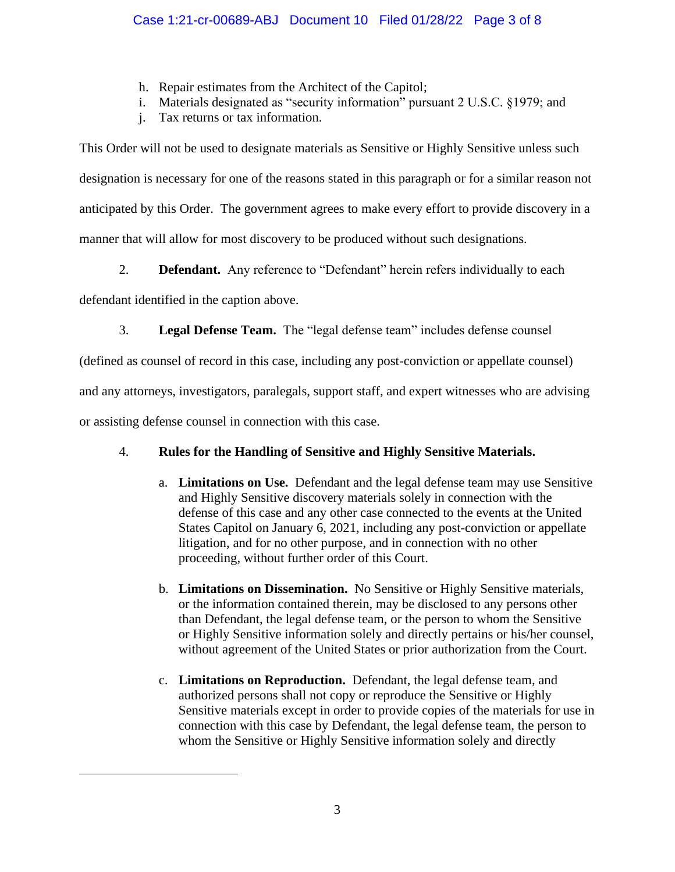- h. Repair estimates from the Architect of the Capitol;
- i. Materials designated as "security information" pursuant 2 U.S.C. §1979; and
- j. Tax returns or tax information.

This Order will not be used to designate materials as Sensitive or Highly Sensitive unless such designation is necessary for one of the reasons stated in this paragraph or for a similar reason not anticipated by this Order. The government agrees to make every effort to provide discovery in a manner that will allow for most discovery to be produced without such designations.

2. **Defendant.** Any reference to "Defendant" herein refers individually to each

defendant identified in the caption above.

3. **Legal Defense Team.** The "legal defense team" includes defense counsel

(defined as counsel of record in this case, including any post-conviction or appellate counsel)

and any attorneys, investigators, paralegals, support staff, and expert witnesses who are advising

or assisting defense counsel in connection with this case.

# 4. **Rules for the Handling of Sensitive and Highly Sensitive Materials.**

- a. **Limitations on Use.** Defendant and the legal defense team may use Sensitive and Highly Sensitive discovery materials solely in connection with the defense of this case and any other case connected to the events at the United States Capitol on January 6, 2021, including any post-conviction or appellate litigation, and for no other purpose, and in connection with no other proceeding, without further order of this Court.
- b. **Limitations on Dissemination.** No Sensitive or Highly Sensitive materials, or the information contained therein, may be disclosed to any persons other than Defendant, the legal defense team, or the person to whom the Sensitive or Highly Sensitive information solely and directly pertains or his/her counsel, without agreement of the United States or prior authorization from the Court.
- c. **Limitations on Reproduction.** Defendant, the legal defense team, and authorized persons shall not copy or reproduce the Sensitive or Highly Sensitive materials except in order to provide copies of the materials for use in connection with this case by Defendant, the legal defense team, the person to whom the Sensitive or Highly Sensitive information solely and directly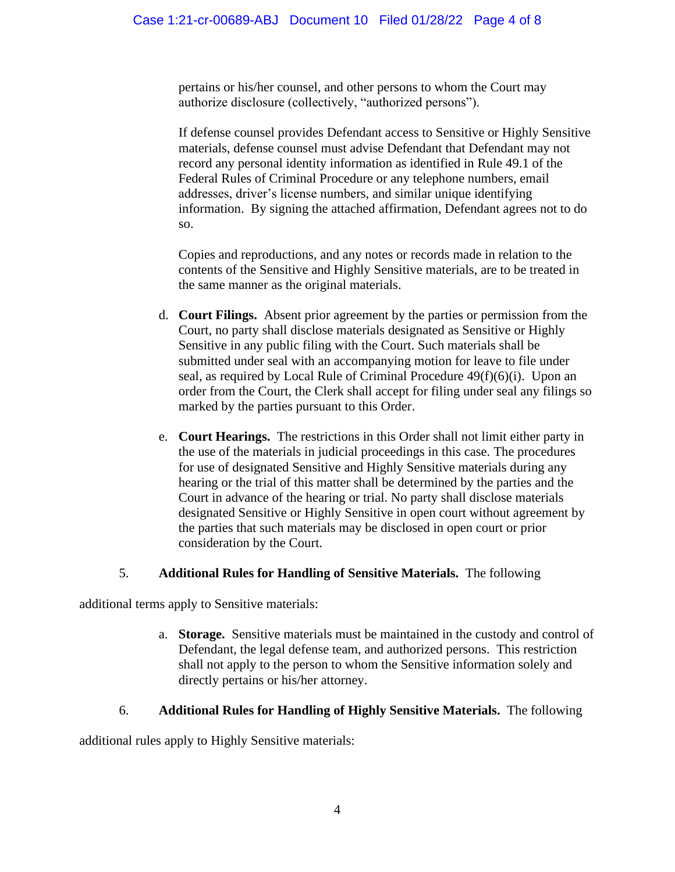pertains or his/her counsel, and other persons to whom the Court may authorize disclosure (collectively, "authorized persons").

If defense counsel provides Defendant access to Sensitive or Highly Sensitive materials, defense counsel must advise Defendant that Defendant may not record any personal identity information as identified in Rule 49.1 of the Federal Rules of Criminal Procedure or any telephone numbers, email addresses, driver's license numbers, and similar unique identifying information. By signing the attached affirmation, Defendant agrees not to do so.

Copies and reproductions, and any notes or records made in relation to the contents of the Sensitive and Highly Sensitive materials, are to be treated in the same manner as the original materials.

- d. **Court Filings.** Absent prior agreement by the parties or permission from the Court, no party shall disclose materials designated as Sensitive or Highly Sensitive in any public filing with the Court. Such materials shall be submitted under seal with an accompanying motion for leave to file under seal, as required by Local Rule of Criminal Procedure 49(f)(6)(i). Upon an order from the Court, the Clerk shall accept for filing under seal any filings so marked by the parties pursuant to this Order.
- e. **Court Hearings.** The restrictions in this Order shall not limit either party in the use of the materials in judicial proceedings in this case. The procedures for use of designated Sensitive and Highly Sensitive materials during any hearing or the trial of this matter shall be determined by the parties and the Court in advance of the hearing or trial. No party shall disclose materials designated Sensitive or Highly Sensitive in open court without agreement by the parties that such materials may be disclosed in open court or prior consideration by the Court.

## 5. **Additional Rules for Handling of Sensitive Materials.** The following

additional terms apply to Sensitive materials:

a. **Storage.** Sensitive materials must be maintained in the custody and control of Defendant, the legal defense team, and authorized persons. This restriction shall not apply to the person to whom the Sensitive information solely and directly pertains or his/her attorney.

## 6. **Additional Rules for Handling of Highly Sensitive Materials.** The following

additional rules apply to Highly Sensitive materials: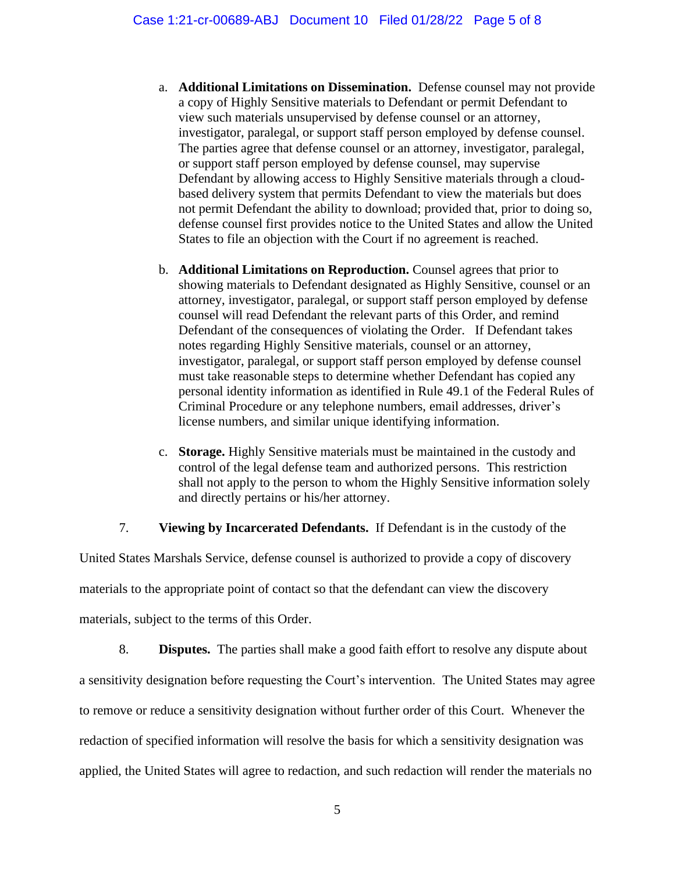- a. **Additional Limitations on Dissemination.** Defense counsel may not provide a copy of Highly Sensitive materials to Defendant or permit Defendant to view such materials unsupervised by defense counsel or an attorney, investigator, paralegal, or support staff person employed by defense counsel. The parties agree that defense counsel or an attorney, investigator, paralegal, or support staff person employed by defense counsel, may supervise Defendant by allowing access to Highly Sensitive materials through a cloudbased delivery system that permits Defendant to view the materials but does not permit Defendant the ability to download; provided that, prior to doing so, defense counsel first provides notice to the United States and allow the United States to file an objection with the Court if no agreement is reached.
- b. **Additional Limitations on Reproduction.** Counsel agrees that prior to showing materials to Defendant designated as Highly Sensitive, counsel or an attorney, investigator, paralegal, or support staff person employed by defense counsel will read Defendant the relevant parts of this Order, and remind Defendant of the consequences of violating the Order. If Defendant takes notes regarding Highly Sensitive materials, counsel or an attorney, investigator, paralegal, or support staff person employed by defense counsel must take reasonable steps to determine whether Defendant has copied any personal identity information as identified in Rule 49.1 of the Federal Rules of Criminal Procedure or any telephone numbers, email addresses, driver's license numbers, and similar unique identifying information.
- c. **Storage.** Highly Sensitive materials must be maintained in the custody and control of the legal defense team and authorized persons. This restriction shall not apply to the person to whom the Highly Sensitive information solely and directly pertains or his/her attorney.

7. **Viewing by Incarcerated Defendants.** If Defendant is in the custody of the

United States Marshals Service, defense counsel is authorized to provide a copy of discovery materials to the appropriate point of contact so that the defendant can view the discovery materials, subject to the terms of this Order.

8. **Disputes.** The parties shall make a good faith effort to resolve any dispute about a sensitivity designation before requesting the Court's intervention. The United States may agree to remove or reduce a sensitivity designation without further order of this Court. Whenever the redaction of specified information will resolve the basis for which a sensitivity designation was applied, the United States will agree to redaction, and such redaction will render the materials no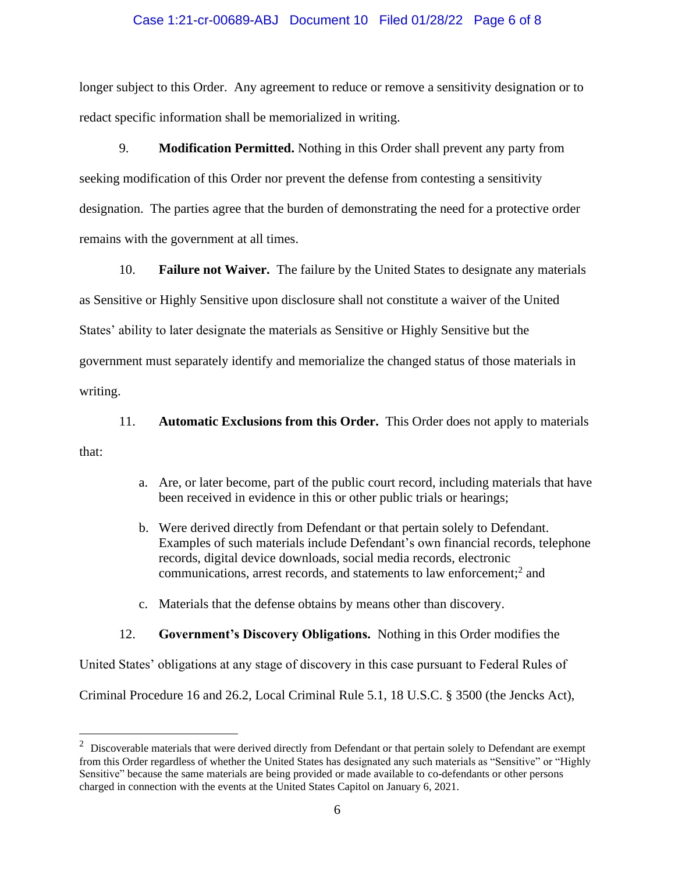#### Case 1:21-cr-00689-ABJ Document 10 Filed 01/28/22 Page 6 of 8

longer subject to this Order. Any agreement to reduce or remove a sensitivity designation or to redact specific information shall be memorialized in writing.

9. **Modification Permitted.** Nothing in this Order shall prevent any party from seeking modification of this Order nor prevent the defense from contesting a sensitivity designation. The parties agree that the burden of demonstrating the need for a protective order remains with the government at all times.

10. **Failure not Waiver.** The failure by the United States to designate any materials as Sensitive or Highly Sensitive upon disclosure shall not constitute a waiver of the United States' ability to later designate the materials as Sensitive or Highly Sensitive but the government must separately identify and memorialize the changed status of those materials in writing.

11. **Automatic Exclusions from this Order.** This Order does not apply to materials

that:

- a. Are, or later become, part of the public court record, including materials that have been received in evidence in this or other public trials or hearings;
- b. Were derived directly from Defendant or that pertain solely to Defendant. Examples of such materials include Defendant's own financial records, telephone records, digital device downloads, social media records, electronic communications, arrest records, and statements to law enforcement;<sup>2</sup> and
- c. Materials that the defense obtains by means other than discovery.

### 12. **Government's Discovery Obligations.** Nothing in this Order modifies the

United States' obligations at any stage of discovery in this case pursuant to Federal Rules of

Criminal Procedure 16 and 26.2, Local Criminal Rule 5.1, 18 U.S.C. § 3500 (the Jencks Act),

 $2$  Discoverable materials that were derived directly from Defendant or that pertain solely to Defendant are exempt from this Order regardless of whether the United States has designated any such materials as "Sensitive" or "Highly Sensitive" because the same materials are being provided or made available to co-defendants or other persons charged in connection with the events at the United States Capitol on January 6, 2021.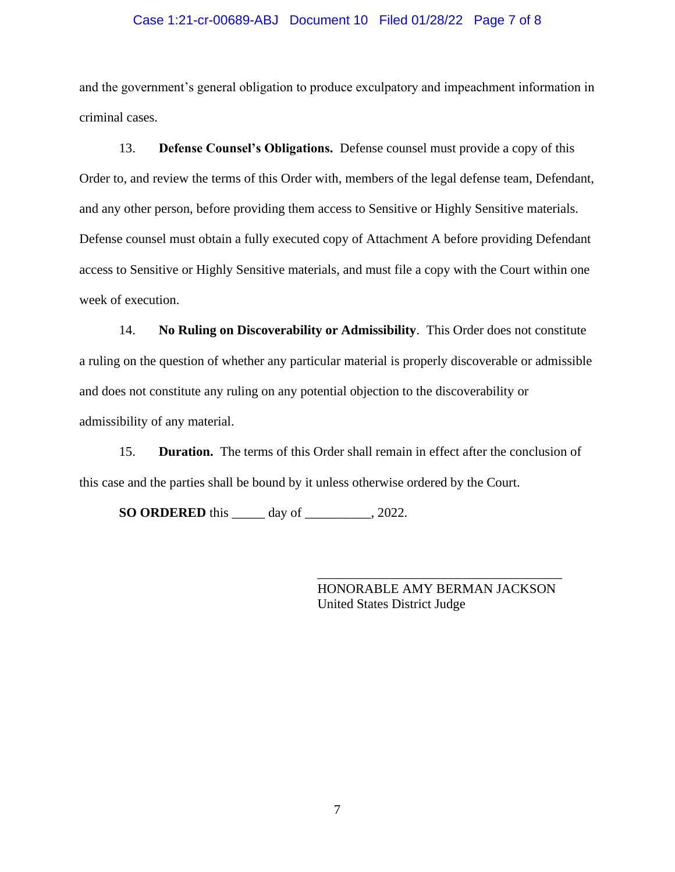#### Case 1:21-cr-00689-ABJ Document 10 Filed 01/28/22 Page 7 of 8

and the government's general obligation to produce exculpatory and impeachment information in criminal cases.

13. **Defense Counsel's Obligations.** Defense counsel must provide a copy of this Order to, and review the terms of this Order with, members of the legal defense team, Defendant, and any other person, before providing them access to Sensitive or Highly Sensitive materials. Defense counsel must obtain a fully executed copy of Attachment A before providing Defendant access to Sensitive or Highly Sensitive materials, and must file a copy with the Court within one week of execution.

14. **No Ruling on Discoverability or Admissibility**. This Order does not constitute a ruling on the question of whether any particular material is properly discoverable or admissible and does not constitute any ruling on any potential objection to the discoverability or admissibility of any material.

15. **Duration.** The terms of this Order shall remain in effect after the conclusion of this case and the parties shall be bound by it unless otherwise ordered by the Court.

**SO ORDERED** this \_\_\_\_\_ day of \_\_\_\_\_\_\_\_\_\_, 2022.

HONORABLE AMY BERMAN JACKSON United States District Judge

\_\_\_\_\_\_\_\_\_\_\_\_\_\_\_\_\_\_\_\_\_\_\_\_\_\_\_\_\_\_\_\_\_\_\_\_\_